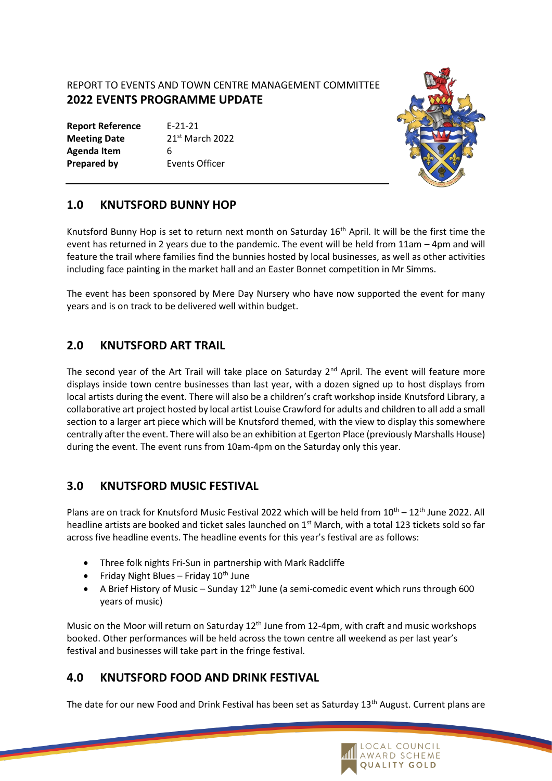#### REPORT TO EVENTS AND TOWN CENTRE MANAGEMENT COMMITTEE **2022 EVENTS PROGRAMME UPDATE**

| <b>Report Reference</b> | $F - 21 - 21$     |
|-------------------------|-------------------|
| <b>Meeting Date</b>     | $21st$ March 2022 |
| Agenda Item             | 6                 |
| <b>Prepared by</b>      | Events Officer    |



## **1.0 KNUTSFORD BUNNY HOP**

Knutsford Bunny Hop is set to return next month on Saturday 16<sup>th</sup> April. It will be the first time the event has returned in 2 years due to the pandemic. The event will be held from 11am – 4pm and will feature the trail where families find the bunnies hosted by local businesses, as well as other activities including face painting in the market hall and an Easter Bonnet competition in Mr Simms.

The event has been sponsored by Mere Day Nursery who have now supported the event for many years and is on track to be delivered well within budget.

## **2.0 KNUTSFORD ART TRAIL**

The second year of the Art Trail will take place on Saturday  $2^{nd}$  April. The event will feature more displays inside town centre businesses than last year, with a dozen signed up to host displays from local artists during the event. There will also be a children's craft workshop inside Knutsford Library, a collaborative art project hosted by local artist Louise Crawford for adults and children to all add a small section to a larger art piece which will be Knutsford themed, with the view to display this somewhere centrally after the event. There will also be an exhibition at Egerton Place (previously Marshalls House) during the event. The event runs from 10am-4pm on the Saturday only this year.

## **3.0 KNUTSFORD MUSIC FESTIVAL**

Plans are on track for Knutsford Music Festival 2022 which will be held from  $10^{\text{th}} - 12^{\text{th}}$  June 2022. All headline artists are booked and ticket sales launched on 1<sup>st</sup> March, with a total 123 tickets sold so far across five headline events. The headline events for this year's festival are as follows:

- Three folk nights Fri-Sun in partnership with Mark Radcliffe
- Friday Night Blues Friday  $10^{th}$  June
- A Brief History of Music Sunday  $12<sup>th</sup>$  June (a semi-comedic event which runs through 600 years of music)

Music on the Moor will return on Saturday 12<sup>th</sup> June from 12-4pm, with craft and music workshops booked. Other performances will be held across the town centre all weekend as per last year's festival and businesses will take part in the fringe festival.

# **4.0 KNUTSFORD FOOD AND DRINK FESTIVAL**

The date for our new Food and Drink Festival has been set as Saturday 13<sup>th</sup> August. Current plans are